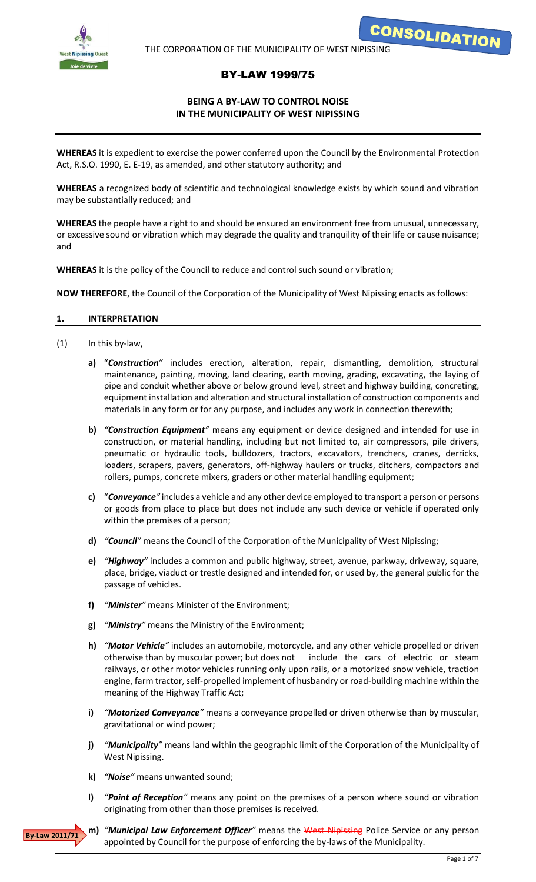

**CONSOLIDATION** 

# BY-LAW 1999/75

# **BEING A BY-LAW TO CONTROL NOISE IN THE MUNICIPALITY OF WEST NIPISSING**

**WHEREAS** it is expedient to exercise the power conferred upon the Council by the Environmental Protection Act, R.S.O. 1990, E. E-19, as amended, and other statutory authority; and

**WHEREAS** a recognized body of scientific and technological knowledge exists by which sound and vibration may be substantially reduced; and

**WHEREAS** the people have a right to and should be ensured an environment free from unusual, unnecessary, or excessive sound or vibration which may degrade the quality and tranquility of their life or cause nuisance; and

**WHEREAS** it is the policy of the Council to reduce and control such sound or vibration;

**NOW THEREFORE**, the Council of the Corporation of the Municipality of West Nipissing enacts as follows:

#### **1. INTERPRETATION**

- (1) In this by-law,
	- **a)** "*Construction"* includes erection, alteration, repair, dismantling, demolition, structural maintenance, painting, moving, land clearing, earth moving, grading, excavating, the laying of pipe and conduit whether above or below ground level, street and highway building, concreting, equipment installation and alteration and structural installation of construction components and materials in any form or for any purpose, and includes any work in connection therewith;
	- **b)** *"Construction Equipment"* means any equipment or device designed and intended for use in construction, or material handling, including but not limited to, air compressors, pile drivers, pneumatic or hydraulic tools, bulldozers, tractors, excavators, trenchers, cranes, derricks, loaders, scrapers, pavers, generators, off-highway haulers or trucks, ditchers, compactors and rollers, pumps, concrete mixers, graders or other material handling equipment;
	- **c)** "*Conveyance"* includes a vehicle and any other device employed to transport a person or persons or goods from place to place but does not include any such device or vehicle if operated only within the premises of a person;
	- **d)** *"Council"* means the Council of the Corporation of the Municipality of West Nipissing;
	- **e)** *"Highway"* includes a common and public highway, street, avenue, parkway, driveway, square, place, bridge, viaduct or trestle designed and intended for, or used by, the general public for the passage of vehicles.
	- **f)** *"Minister"* means Minister of the Environment;
	- **g)** *"Ministry"* means the Ministry of the Environment;
	- **h)** *"Motor Vehicle"* includes an automobile, motorcycle, and any other vehicle propelled or driven otherwise than by muscular power; but does not include the cars of electric or steam railways, or other motor vehicles running only upon rails, or a motorized snow vehicle, traction engine, farm tractor, self-propelled implement of husbandry or road-building machine within the meaning of the Highway Traffic Act;
	- **i)** *"Motorized Conveyance"* means a conveyance propelled or driven otherwise than by muscular, gravitational or wind power;
	- **j)** *"Municipality"* means land within the geographic limit of the Corporation of the Municipality of West Nipissing.
	- **k)** *"Noise"* means unwanted sound;
	- **l)** *"Point of Reception"* means any point on the premises of a person where sound or vibration originating from other than those premises is received.



**m)** *"Municipal Law Enforcement Officer"* means the West Nipissing Police Service or any person appointed by Council for the purpose of enforcing the by-laws of the Municipality.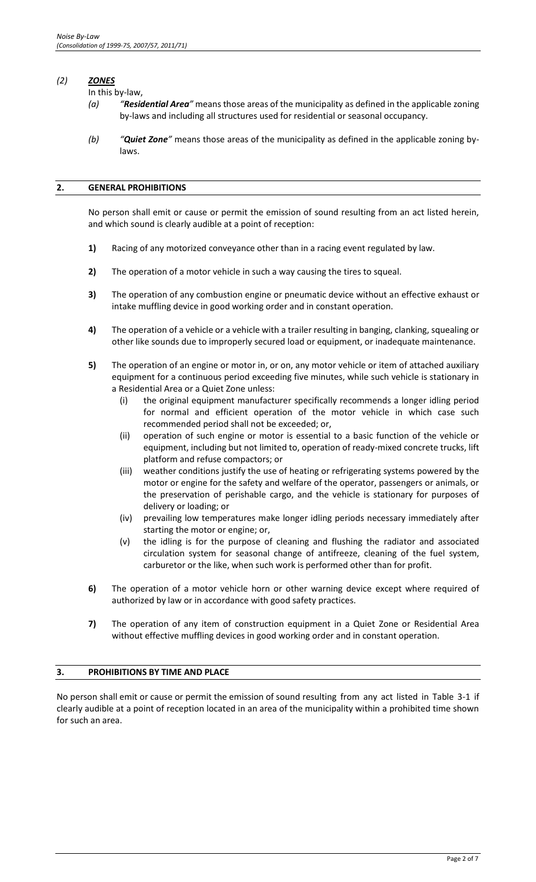## *(2) ZONES*

In this by-law,

- *(a) "Residential Area"* means those areas of the municipality as defined in the applicable zoning by-laws and including all structures used for residential or seasonal occupancy.
- *(b) "Quiet Zone"* means those areas of the municipality as defined in the applicable zoning bylaws.

# **2. GENERAL PROHIBITIONS**

No person shall emit or cause or permit the emission of sound resulting from an act listed herein, and which sound is clearly audible at a point of reception:

- **1)** Racing of any motorized conveyance other than in a racing event regulated by law.
- **2)** The operation of a motor vehicle in such a way causing the tires to squeal.
- **3)** The operation of any combustion engine or pneumatic device without an effective exhaust or intake muffling device in good working order and in constant operation.
- **4)** The operation of a vehicle or a vehicle with a trailer resulting in banging, clanking, squealing or other like sounds due to improperly secured load or equipment, or inadequate maintenance.
- **5)** The operation of an engine or motor in, or on, any motor vehicle or item of attached auxiliary equipment for a continuous period exceeding five minutes, while such vehicle is stationary in a Residential Area or a Quiet Zone unless:
	- (i) the original equipment manufacturer specifically recommends a longer idling period for normal and efficient operation of the motor vehicle in which case such recommended period shall not be exceeded; or,
	- (ii) operation of such engine or motor is essential to a basic function of the vehicle or equipment, including but not limited to, operation of ready-mixed concrete trucks, lift platform and refuse compactors; or
	- (iii) weather conditions justify the use of heating or refrigerating systems powered by the motor or engine for the safety and welfare of the operator, passengers or animals, or the preservation of perishable cargo, and the vehicle is stationary for purposes of delivery or loading; or
	- (iv) prevailing low temperatures make longer idling periods necessary immediately after starting the motor or engine; or,
	- (v) the idling is for the purpose of cleaning and flushing the radiator and associated circulation system for seasonal change of antifreeze, cleaning of the fuel system, carburetor or the like, when such work is performed other than for profit.
- **6)** The operation of a motor vehicle horn or other warning device except where required of authorized by law or in accordance with good safety practices.
- **7)** The operation of any item of construction equipment in a Quiet Zone or Residential Area without effective muffling devices in good working order and in constant operation.

# **3. PROHIBITIONS BY TIME AND PLACE**

No person shall emit or cause or permit the emission of sound resulting from any act listed in Table 3-1 if clearly audible at a point of reception located in an area of the municipality within a prohibited time shown for such an area.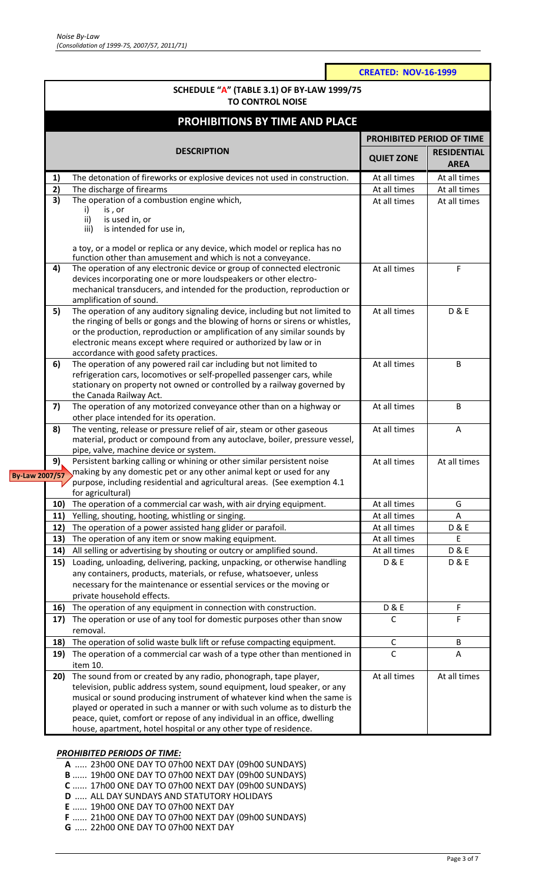|                       |                                       |                                                                                                                                                                                                                                                                                                                                                                                                                                                      | <b>CREATED: NOV-16-1999</b> |                                   |  |  |  |  |
|-----------------------|---------------------------------------|------------------------------------------------------------------------------------------------------------------------------------------------------------------------------------------------------------------------------------------------------------------------------------------------------------------------------------------------------------------------------------------------------------------------------------------------------|-----------------------------|-----------------------------------|--|--|--|--|
|                       |                                       | <b>SCHEDULE "A" (TABLE 3.1) OF BY-LAW 1999/75</b><br><b>TO CONTROL NOISE</b>                                                                                                                                                                                                                                                                                                                                                                         |                             |                                   |  |  |  |  |
|                       |                                       |                                                                                                                                                                                                                                                                                                                                                                                                                                                      |                             |                                   |  |  |  |  |
|                       | <b>PROHIBITIONS BY TIME AND PLACE</b> |                                                                                                                                                                                                                                                                                                                                                                                                                                                      |                             |                                   |  |  |  |  |
|                       |                                       | <b>DESCRIPTION</b>                                                                                                                                                                                                                                                                                                                                                                                                                                   |                             | PROHIBITED PERIOD OF TIME         |  |  |  |  |
|                       |                                       |                                                                                                                                                                                                                                                                                                                                                                                                                                                      |                             | <b>RESIDENTIAL</b><br><b>AREA</b> |  |  |  |  |
|                       | 1)                                    | The detonation of fireworks or explosive devices not used in construction.                                                                                                                                                                                                                                                                                                                                                                           | At all times                | At all times                      |  |  |  |  |
|                       | 2)                                    | The discharge of firearms                                                                                                                                                                                                                                                                                                                                                                                                                            | At all times                | At all times                      |  |  |  |  |
|                       | $\overline{3}$                        | The operation of a combustion engine which,<br>is, or<br>i)<br>is used in, or<br>ii)<br>is intended for use in,<br>iii)                                                                                                                                                                                                                                                                                                                              | At all times                | At all times                      |  |  |  |  |
|                       |                                       | a toy, or a model or replica or any device, which model or replica has no<br>function other than amusement and which is not a conveyance.                                                                                                                                                                                                                                                                                                            |                             |                                   |  |  |  |  |
|                       | 4)                                    | The operation of any electronic device or group of connected electronic<br>devices incorporating one or more loudspeakers or other electro-<br>mechanical transducers, and intended for the production, reproduction or<br>amplification of sound.                                                                                                                                                                                                   | At all times                | F                                 |  |  |  |  |
|                       | 5)                                    | The operation of any auditory signaling device, including but not limited to<br>the ringing of bells or gongs and the blowing of horns or sirens or whistles,<br>or the production, reproduction or amplification of any similar sounds by<br>electronic means except where required or authorized by law or in<br>accordance with good safety practices.                                                                                            | At all times                | <b>D&amp;E</b>                    |  |  |  |  |
|                       | 6)                                    | The operation of any powered rail car including but not limited to<br>refrigeration cars, locomotives or self-propelled passenger cars, while<br>stationary on property not owned or controlled by a railway governed by<br>the Canada Railway Act.                                                                                                                                                                                                  | At all times                | B                                 |  |  |  |  |
|                       | 7)                                    | The operation of any motorized conveyance other than on a highway or<br>other place intended for its operation.                                                                                                                                                                                                                                                                                                                                      | At all times                | B                                 |  |  |  |  |
|                       | 8)                                    | The venting, release or pressure relief of air, steam or other gaseous<br>material, product or compound from any autoclave, boiler, pressure vessel,<br>pipe, valve, machine device or system.                                                                                                                                                                                                                                                       | At all times                | A                                 |  |  |  |  |
| <b>By-Law 2007/57</b> | 9).                                   | Persistent barking calling or whining or other similar persistent noise<br>making by any domestic pet or any other animal kept or used for any<br>purpose, including residential and agricultural areas. (See exemption 4.1<br>for agricultural)                                                                                                                                                                                                     | At all times                | At all times                      |  |  |  |  |
|                       | 10)                                   | The operation of a commercial car wash, with air drying equipment.                                                                                                                                                                                                                                                                                                                                                                                   | At all times                | G                                 |  |  |  |  |
|                       | 11)                                   | Yelling, shouting, hooting, whistling or singing.                                                                                                                                                                                                                                                                                                                                                                                                    | At all times                | Α                                 |  |  |  |  |
|                       | 12)                                   | The operation of a power assisted hang glider or parafoil.                                                                                                                                                                                                                                                                                                                                                                                           | At all times                | <b>D&amp;E</b>                    |  |  |  |  |
|                       | 13)                                   | The operation of any item or snow making equipment.                                                                                                                                                                                                                                                                                                                                                                                                  | At all times                | Ε                                 |  |  |  |  |
|                       | 14)                                   | All selling or advertising by shouting or outcry or amplified sound.                                                                                                                                                                                                                                                                                                                                                                                 | At all times                | <b>D&amp;E</b>                    |  |  |  |  |
|                       | 15)                                   | Loading, unloading, delivering, packing, unpacking, or otherwise handling<br>any containers, products, materials, or refuse, whatsoever, unless<br>necessary for the maintenance or essential services or the moving or<br>private household effects.                                                                                                                                                                                                | <b>D&amp;E</b>              | <b>D&amp;E</b>                    |  |  |  |  |
|                       | 16)                                   | The operation of any equipment in connection with construction.                                                                                                                                                                                                                                                                                                                                                                                      | <b>D&amp;E</b>              | F                                 |  |  |  |  |
|                       | 17)                                   | The operation or use of any tool for domestic purposes other than snow<br>removal.                                                                                                                                                                                                                                                                                                                                                                   | C                           | F                                 |  |  |  |  |
|                       | 18)                                   | The operation of solid waste bulk lift or refuse compacting equipment.                                                                                                                                                                                                                                                                                                                                                                               | C                           | B                                 |  |  |  |  |
|                       | 19)                                   | The operation of a commercial car wash of a type other than mentioned in<br>item 10.                                                                                                                                                                                                                                                                                                                                                                 | $\mathsf{C}$                | Α                                 |  |  |  |  |
|                       | 20)                                   | The sound from or created by any radio, phonograph, tape player,<br>television, public address system, sound equipment, loud speaker, or any<br>musical or sound producing instrument of whatever kind when the same is<br>played or operated in such a manner or with such volume as to disturb the<br>peace, quiet, comfort or repose of any individual in an office, dwelling<br>house, apartment, hotel hospital or any other type of residence. | At all times                | At all times                      |  |  |  |  |

# *PROHIBITED PERIODS OF TIME:*

- **A** ..... 23h00 ONE DAY TO 07h00 NEXT DAY (09h00 SUNDAYS)
- **B** ...... 19h00 ONE DAY TO 07h00 NEXT DAY (09h00 SUNDAYS)
- **C** ...... 17h00 ONE DAY TO 07h00 NEXT DAY (09h00 SUNDAYS)
- **D** ..... ALL DAY SUNDAYS AND STATUTORY HOLIDAYS
- **E** ...... 19h00 ONE DAY TO 07h00 NEXT DAY
- **F** ...... 21h00 ONE DAY TO 07h00 NEXT DAY (09h00 SUNDAYS)
- **G** ..... 22h00 ONE DAY TO 07h00 NEXT DAY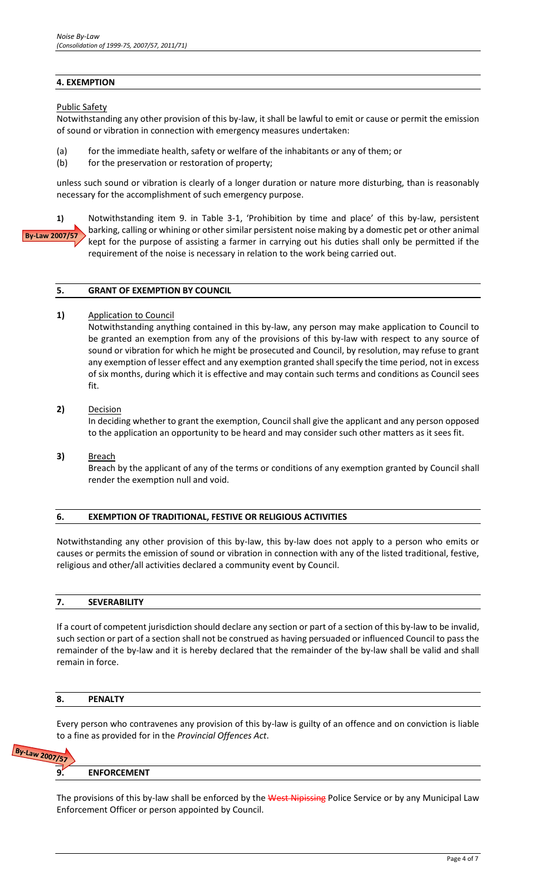## **4. EXEMPTION**

Public Safety

Notwithstanding any other provision of this by-law, it shall be lawful to emit or cause or permit the emission of sound or vibration in connection with emergency measures undertaken:

- (a) for the immediate health, safety or welfare of the inhabitants or any of them; or
- (b) for the preservation or restoration of property;

unless such sound or vibration is clearly of a longer duration or nature more disturbing, than is reasonably necessary for the accomplishment of such emergency purpose.

**By-Law 2007/57**

**1)** Notwithstanding item 9. in Table 3-1, 'Prohibition by time and place' of this by-law, persistent barking, calling or whining or other similar persistent noise making by a domestic pet or other animal kept for the purpose of assisting a farmer in carrying out his duties shall only be permitted if the requirement of the noise is necessary in relation to the work being carried out.

#### **5. GRANT OF EXEMPTION BY COUNCIL**

1) Application to Council

Notwithstanding anything contained in this by-law, any person may make application to Council to be granted an exemption from any of the provisions of this by-law with respect to any source of sound or vibration for which he might be prosecuted and Council, by resolution, may refuse to grant any exemption of lesser effect and any exemption granted shall specify the time period, not in excess of six months, during which it is effective and may contain such terms and conditions as Council sees fit.

## **2)** Decision

In deciding whether to grant the exemption, Council shall give the applicant and any person opposed to the application an opportunity to be heard and may consider such other matters as it sees fit.

**3)** Breach

Breach by the applicant of any of the terms or conditions of any exemption granted by Council shall render the exemption null and void.

#### **6. EXEMPTION OF TRADITIONAL, FESTIVE OR RELIGIOUS ACTIVITIES**

Notwithstanding any other provision of this by-law, this by-law does not apply to a person who emits or causes or permits the emission of sound or vibration in connection with any of the listed traditional, festive, religious and other/all activities declared a community event by Council.

#### **7. SEVERABILITY**

If a court of competent jurisdiction should declare any section or part of a section of this by-law to be invalid, such section or part of a section shall not be construed as having persuaded or influenced Council to pass the remainder of the by-law and it is hereby declared that the remainder of the by-law shall be valid and shall remain in force.

#### **8. PENALTY**

Every person who contravenes any provision of this by-law is guilty of an offence and on conviction is liable to a fine as provided for in the *Provincial Offences Act*.

# By-Law 2007/57

#### **9. ENFORCEMENT**

The provisions of this by-law shall be enforced by the West Nipissing Police Service or by any Municipal Law Enforcement Officer or person appointed by Council.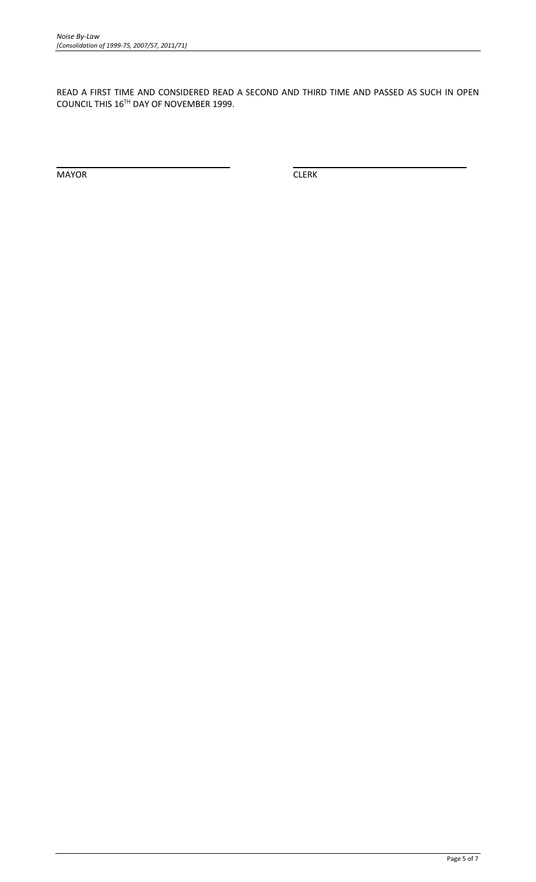READ A FIRST TIME AND CONSIDERED READ A SECOND AND THIRD TIME AND PASSED AS SUCH IN OPEN COUNCIL THIS 16TH DAY OF NOVEMBER 1999.

MAYOR CLERK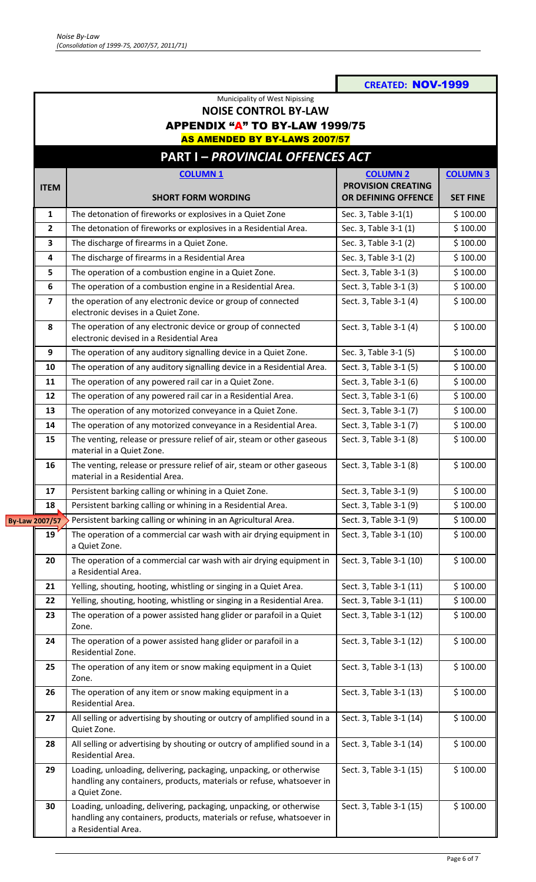|                                      |                                                                                                                                                                    | <b>CREATED: NOV-1999</b>  |                 |  |  |  |  |  |
|--------------------------------------|--------------------------------------------------------------------------------------------------------------------------------------------------------------------|---------------------------|-----------------|--|--|--|--|--|
|                                      | Municipality of West Nipissing                                                                                                                                     |                           |                 |  |  |  |  |  |
|                                      | <b>NOISE CONTROL BY-LAW</b>                                                                                                                                        |                           |                 |  |  |  |  |  |
|                                      | <b>APPENDIX "A" TO BY-LAW 1999/75</b>                                                                                                                              |                           |                 |  |  |  |  |  |
| <b>AS AMENDED BY BY-LAWS 2007/57</b> |                                                                                                                                                                    |                           |                 |  |  |  |  |  |
|                                      | <b>PART I-PROVINCIAL OFFENCES ACT</b>                                                                                                                              |                           |                 |  |  |  |  |  |
|                                      | <b>COLUMN1</b>                                                                                                                                                     | <b>COLUMN 2</b>           | <b>COLUMN 3</b> |  |  |  |  |  |
| <b>ITEM</b>                          |                                                                                                                                                                    | <b>PROVISION CREATING</b> |                 |  |  |  |  |  |
|                                      | <b>SHORT FORM WORDING</b>                                                                                                                                          | OR DEFINING OFFENCE       | <b>SET FINE</b> |  |  |  |  |  |
| 1                                    | The detonation of fireworks or explosives in a Quiet Zone                                                                                                          | Sec. 3, Table 3-1(1)      | \$100.00        |  |  |  |  |  |
| 2                                    | The detonation of fireworks or explosives in a Residential Area.                                                                                                   | Sec. 3, Table 3-1 (1)     | \$100.00        |  |  |  |  |  |
| 3                                    | The discharge of firearms in a Quiet Zone.                                                                                                                         | Sec. 3, Table 3-1 (2)     | \$100.00        |  |  |  |  |  |
| 4                                    | The discharge of firearms in a Residential Area                                                                                                                    | Sec. 3, Table 3-1 (2)     | \$100.00        |  |  |  |  |  |
| 5                                    | The operation of a combustion engine in a Quiet Zone.                                                                                                              | Sect. 3, Table 3-1 (3)    | \$100.00        |  |  |  |  |  |
| 6                                    | The operation of a combustion engine in a Residential Area.                                                                                                        | Sect. 3, Table 3-1 (3)    | \$100.00        |  |  |  |  |  |
| $\overline{7}$                       | the operation of any electronic device or group of connected<br>electronic devises in a Quiet Zone.                                                                | Sect. 3, Table 3-1 (4)    | \$100.00        |  |  |  |  |  |
| 8                                    | The operation of any electronic device or group of connected<br>electronic devised in a Residential Area                                                           | Sect. 3, Table 3-1 (4)    | \$100.00        |  |  |  |  |  |
| 9                                    | The operation of any auditory signalling device in a Quiet Zone.                                                                                                   | Sec. 3, Table 3-1 (5)     | \$100.00        |  |  |  |  |  |
| 10                                   | The operation of any auditory signalling device in a Residential Area.                                                                                             | Sect. 3, Table 3-1 (5)    | \$100.00        |  |  |  |  |  |
| 11                                   | The operation of any powered rail car in a Quiet Zone.                                                                                                             | Sect. 3, Table 3-1 (6)    | \$100.00        |  |  |  |  |  |
| 12                                   | The operation of any powered rail car in a Residential Area.                                                                                                       | Sect. 3, Table 3-1 (6)    | \$100.00        |  |  |  |  |  |
| 13                                   | The operation of any motorized conveyance in a Quiet Zone.                                                                                                         | Sect. 3, Table 3-1 (7)    | \$100.00        |  |  |  |  |  |
| 14                                   | The operation of any motorized conveyance in a Residential Area.                                                                                                   | Sect. 3, Table 3-1 (7)    | \$100.00        |  |  |  |  |  |
| 15                                   | The venting, release or pressure relief of air, steam or other gaseous<br>material in a Quiet Zone.                                                                | Sect. 3, Table 3-1 (8)    | \$100.00        |  |  |  |  |  |
| 16                                   | The venting, release or pressure relief of air, steam or other gaseous<br>material in a Residential Area.                                                          | Sect. 3, Table 3-1 (8)    | \$100.00        |  |  |  |  |  |
| 17                                   | Persistent barking calling or whining in a Quiet Zone.                                                                                                             | Sect. 3, Table 3-1 (9)    | \$100.00        |  |  |  |  |  |
| 18                                   | Persistent barking calling or whining in a Residential Area.                                                                                                       | Sect. 3, Table 3-1 (9)    | \$100.00        |  |  |  |  |  |
| <b>By-Law 2007/57</b>                | Persistent barking calling or whining in an Agricultural Area.                                                                                                     | Sect. 3, Table 3-1 (9)    | \$100.00        |  |  |  |  |  |
| 19                                   | The operation of a commercial car wash with air drying equipment in<br>a Quiet Zone.                                                                               | Sect. 3, Table 3-1 (10)   | \$100.00        |  |  |  |  |  |
| 20                                   | The operation of a commercial car wash with air drying equipment in<br>a Residential Area.                                                                         | Sect. 3, Table 3-1 (10)   | \$100.00        |  |  |  |  |  |
| 21                                   | Yelling, shouting, hooting, whistling or singing in a Quiet Area.                                                                                                  | Sect. 3, Table 3-1 (11)   | \$100.00        |  |  |  |  |  |
| 22                                   | Yelling, shouting, hooting, whistling or singing in a Residential Area.                                                                                            | Sect. 3, Table 3-1 (11)   | \$100.00        |  |  |  |  |  |
| 23                                   | The operation of a power assisted hang glider or parafoil in a Quiet<br>Zone.                                                                                      | Sect. 3, Table 3-1 (12)   | \$100.00        |  |  |  |  |  |
| 24                                   | The operation of a power assisted hang glider or parafoil in a<br>Residential Zone.                                                                                | Sect. 3, Table 3-1 (12)   | \$100.00        |  |  |  |  |  |
| 25                                   | The operation of any item or snow making equipment in a Quiet<br>Zone.                                                                                             | Sect. 3, Table 3-1 (13)   | \$100.00        |  |  |  |  |  |
| 26                                   | The operation of any item or snow making equipment in a<br>Residential Area.                                                                                       | Sect. 3, Table 3-1 (13)   | \$100.00        |  |  |  |  |  |
| 27                                   | All selling or advertising by shouting or outcry of amplified sound in a<br>Quiet Zone.                                                                            | Sect. 3, Table 3-1 (14)   | \$100.00        |  |  |  |  |  |
| 28                                   | All selling or advertising by shouting or outcry of amplified sound in a<br>Residential Area.                                                                      | Sect. 3, Table 3-1 (14)   | \$100.00        |  |  |  |  |  |
| 29                                   | Loading, unloading, delivering, packaging, unpacking, or otherwise<br>handling any containers, products, materials or refuse, whatsoever in<br>a Quiet Zone.       | Sect. 3, Table 3-1 (15)   | \$100.00        |  |  |  |  |  |
| 30                                   | Loading, unloading, delivering, packaging, unpacking, or otherwise<br>handling any containers, products, materials or refuse, whatsoever in<br>a Residential Area. | Sect. 3, Table 3-1 (15)   | \$100.00        |  |  |  |  |  |